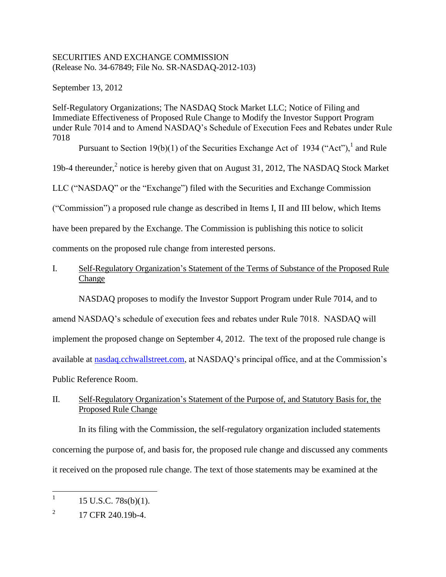## SECURITIES AND EXCHANGE COMMISSION (Release No. 34-67849; File No. SR-NASDAQ-2012-103)

September 13, 2012

Self-Regulatory Organizations; The NASDAQ Stock Market LLC; Notice of Filing and Immediate Effectiveness of Proposed Rule Change to Modify the Investor Support Program under Rule 7014 and to Amend NASDAQ's Schedule of Execution Fees and Rebates under Rule 7018

Pursuant to Section 19(b)(1) of the Securities Exchange Act of 1934 ("Act"),  $^1$  and Rule

19b-4 thereunder,<sup>2</sup> notice is hereby given that on August 31, 2012, The NASDAQ Stock Market

LLC ("NASDAQ" or the "Exchange") filed with the Securities and Exchange Commission

("Commission") a proposed rule change as described in Items I, II and III below, which Items

have been prepared by the Exchange. The Commission is publishing this notice to solicit

comments on the proposed rule change from interested persons.

# I. Self-Regulatory Organization's Statement of the Terms of Substance of the Proposed Rule Change

NASDAQ proposes to modify the Investor Support Program under Rule 7014, and to

amend NASDAQ's schedule of execution fees and rebates under Rule 7018. NASDAQ will

implement the proposed change on September 4, 2012. The text of the proposed rule change is available at [nasdaq.cchwallstreet.com,](http://nasdaq.cchwallstreet.com/) at NASDAQ's principal office, and at the Commission's

Public Reference Room.

# II. Self-Regulatory Organization's Statement of the Purpose of, and Statutory Basis for, the Proposed Rule Change

In its filing with the Commission, the self-regulatory organization included statements concerning the purpose of, and basis for, the proposed rule change and discussed any comments it received on the proposed rule change. The text of those statements may be examined at the

 $\frac{1}{1}$ 15 U.S.C. 78s(b)(1).

<sup>2</sup> 17 CFR 240.19b-4.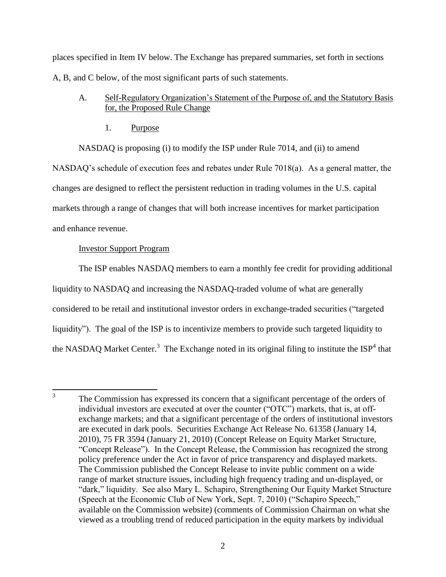places specified in Item IV below. The Exchange has prepared summaries, set forth in sections A, B, and C below, of the most significant parts of such statements.

- A. Self-Regulatory Organization's Statement of the Purpose of, and the Statutory Basis for, the Proposed Rule Change
	- 1. Purpose

NASDAQ is proposing (i) to modify the ISP under Rule 7014, and (ii) to amend NASDAQ's schedule of execution fees and rebates under Rule 7018(a). As a general matter, the changes are designed to reflect the persistent reduction in trading volumes in the U.S. capital markets through a range of changes that will both increase incentives for market participation and enhance revenue.

## Investor Support Program

The ISP enables NASDAQ members to earn a monthly fee credit for providing additional liquidity to NASDAQ and increasing the NASDAQ-traded volume of what are generally considered to be retail and institutional investor orders in exchange-traded securities ("targeted liquidity"). The goal of the ISP is to incentivize members to provide such targeted liquidity to the NASDAQ Market Center.<sup>3</sup> The Exchange noted in its original filing to institute the  $ISP^4$  that

 $\frac{1}{3}$ The Commission has expressed its concern that a significant percentage of the orders of individual investors are executed at over the counter ("OTC") markets, that is, at offexchange markets; and that a significant percentage of the orders of institutional investors are executed in dark pools. Securities Exchange Act Release No. 61358 (January 14, 2010), 75 FR 3594 (January 21, 2010) (Concept Release on Equity Market Structure, "Concept Release"). In the Concept Release, the Commission has recognized the strong policy preference under the Act in favor of price transparency and displayed markets. The Commission published the Concept Release to invite public comment on a wide range of market structure issues, including high frequency trading and un-displayed, or "dark," liquidity. See also Mary L. Schapiro, Strengthening Our Equity Market Structure (Speech at the Economic Club of New York, Sept. 7, 2010) ("Schapiro Speech," available on the Commission website) (comments of Commission Chairman on what she viewed as a troubling trend of reduced participation in the equity markets by individual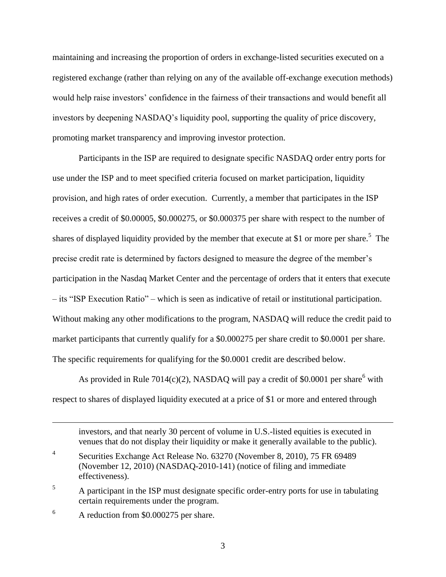maintaining and increasing the proportion of orders in exchange-listed securities executed on a registered exchange (rather than relying on any of the available off-exchange execution methods) would help raise investors' confidence in the fairness of their transactions and would benefit all investors by deepening NASDAQ's liquidity pool, supporting the quality of price discovery, promoting market transparency and improving investor protection.

Participants in the ISP are required to designate specific NASDAQ order entry ports for use under the ISP and to meet specified criteria focused on market participation, liquidity provision, and high rates of order execution. Currently, a member that participates in the ISP receives a credit of \$0.00005, \$0.000275, or \$0.000375 per share with respect to the number of shares of displayed liquidity provided by the member that execute at \$1 or more per share.<sup>5</sup> The precise credit rate is determined by factors designed to measure the degree of the member's participation in the Nasdaq Market Center and the percentage of orders that it enters that execute – its "ISP Execution Ratio" – which is seen as indicative of retail or institutional participation. Without making any other modifications to the program, NASDAQ will reduce the credit paid to market participants that currently qualify for a \$0.000275 per share credit to \$0.0001 per share. The specific requirements for qualifying for the \$0.0001 credit are described below.

As provided in Rule 7014(c)(2), NASDAQ will pay a credit of \$0.0001 per share<sup>6</sup> with respect to shares of displayed liquidity executed at a price of \$1 or more and entered through

 $\overline{a}$ 

investors, and that nearly 30 percent of volume in U.S.-listed equities is executed in venues that do not display their liquidity or make it generally available to the public).

<sup>4</sup> Securities Exchange Act Release No. 63270 (November 8, 2010), 75 FR 69489 (November 12, 2010) (NASDAQ-2010-141) (notice of filing and immediate effectiveness).

<sup>&</sup>lt;sup>5</sup> A participant in the ISP must designate specific order-entry ports for use in tabulating certain requirements under the program.

<sup>6</sup> A reduction from \$0.000275 per share.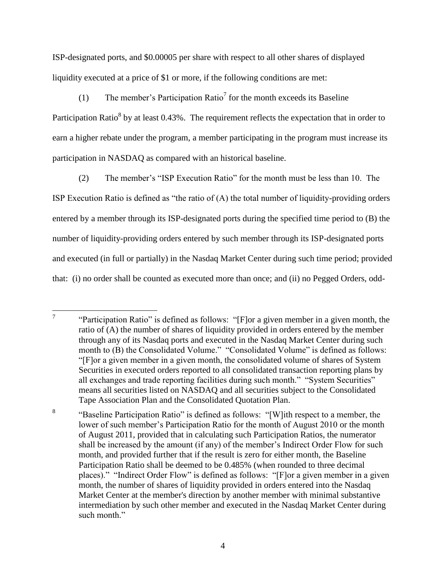ISP-designated ports, and \$0.00005 per share with respect to all other shares of displayed liquidity executed at a price of \$1 or more, if the following conditions are met:

(1) The member's Participation Ratio<sup>7</sup> for the month exceeds its Baseline Participation Ratio<sup>8</sup> by at least 0.43%. The requirement reflects the expectation that in order to earn a higher rebate under the program, a member participating in the program must increase its participation in NASDAQ as compared with an historical baseline.

(2) The member's "ISP Execution Ratio" for the month must be less than 10. The ISP Execution Ratio is defined as "the ratio of (A) the total number of liquidity-providing orders entered by a member through its ISP-designated ports during the specified time period to (B) the number of liquidity-providing orders entered by such member through its ISP-designated ports and executed (in full or partially) in the Nasdaq Market Center during such time period; provided that: (i) no order shall be counted as executed more than once; and (ii) no Pegged Orders, odd-

<sup>—&</sup>lt;br>7 "Participation Ratio" is defined as follows: "[F]or a given member in a given month, the ratio of (A) the number of shares of liquidity provided in orders entered by the member through any of its Nasdaq ports and executed in the Nasdaq Market Center during such month to (B) the Consolidated Volume." "Consolidated Volume" is defined as follows: "[F]or a given member in a given month, the consolidated volume of shares of System Securities in executed orders reported to all consolidated transaction reporting plans by all exchanges and trade reporting facilities during such month." "System Securities" means all securities listed on NASDAQ and all securities subject to the Consolidated Tape Association Plan and the Consolidated Quotation Plan.

<sup>8</sup> "Baseline Participation Ratio" is defined as follows: "[W]ith respect to a member, the lower of such member's Participation Ratio for the month of August 2010 or the month of August 2011, provided that in calculating such Participation Ratios, the numerator shall be increased by the amount (if any) of the member's Indirect Order Flow for such month, and provided further that if the result is zero for either month, the Baseline Participation Ratio shall be deemed to be 0.485% (when rounded to three decimal places)." "Indirect Order Flow" is defined as follows: "[F]or a given member in a given month, the number of shares of liquidity provided in orders entered into the Nasdaq Market Center at the member's direction by another member with minimal substantive intermediation by such other member and executed in the Nasdaq Market Center during such month."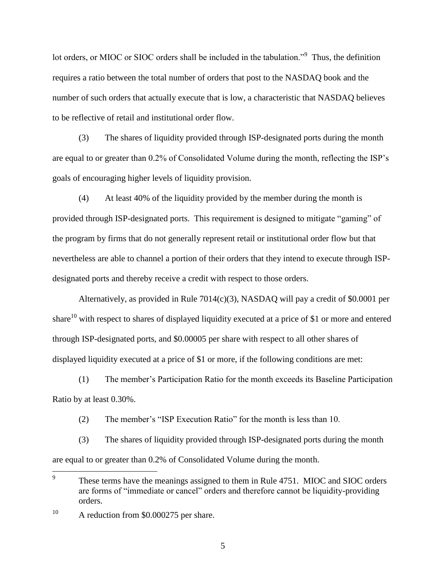lot orders, or MIOC or SIOC orders shall be included in the tabulation."<sup>9</sup> Thus, the definition requires a ratio between the total number of orders that post to the NASDAQ book and the number of such orders that actually execute that is low, a characteristic that NASDAQ believes to be reflective of retail and institutional order flow.

(3) The shares of liquidity provided through ISP-designated ports during the month are equal to or greater than 0.2% of Consolidated Volume during the month, reflecting the ISP's goals of encouraging higher levels of liquidity provision.

(4) At least 40% of the liquidity provided by the member during the month is provided through ISP-designated ports. This requirement is designed to mitigate "gaming" of the program by firms that do not generally represent retail or institutional order flow but that nevertheless are able to channel a portion of their orders that they intend to execute through ISPdesignated ports and thereby receive a credit with respect to those orders.

Alternatively, as provided in Rule 7014(c)(3), NASDAQ will pay a credit of \$0.0001 per share<sup>10</sup> with respect to shares of displayed liquidity executed at a price of \$1 or more and entered through ISP-designated ports, and \$0.00005 per share with respect to all other shares of displayed liquidity executed at a price of \$1 or more, if the following conditions are met:

(1) The member's Participation Ratio for the month exceeds its Baseline Participation Ratio by at least 0.30%.

(2) The member's "ISP Execution Ratio" for the month is less than 10.

(3) The shares of liquidity provided through ISP-designated ports during the month are equal to or greater than 0.2% of Consolidated Volume during the month.

<sup>—&</sup>lt;br>9 These terms have the meanings assigned to them in Rule 4751. MIOC and SIOC orders are forms of "immediate or cancel" orders and therefore cannot be liquidity-providing orders.

<sup>&</sup>lt;sup>10</sup> A reduction from \$0.000275 per share.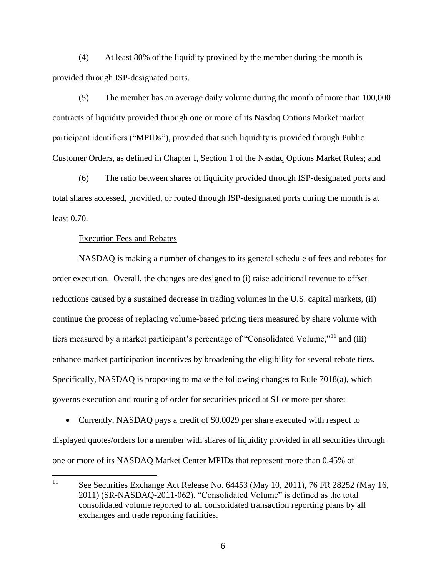(4) At least 80% of the liquidity provided by the member during the month is provided through ISP-designated ports.

(5) The member has an average daily volume during the month of more than 100,000 contracts of liquidity provided through one or more of its Nasdaq Options Market market participant identifiers ("MPIDs"), provided that such liquidity is provided through Public Customer Orders, as defined in Chapter I, Section 1 of the Nasdaq Options Market Rules; and

(6) The ratio between shares of liquidity provided through ISP-designated ports and total shares accessed, provided, or routed through ISP-designated ports during the month is at least 0.70.

### Execution Fees and Rebates

NASDAQ is making a number of changes to its general schedule of fees and rebates for order execution. Overall, the changes are designed to (i) raise additional revenue to offset reductions caused by a sustained decrease in trading volumes in the U.S. capital markets, (ii) continue the process of replacing volume-based pricing tiers measured by share volume with tiers measured by a market participant's percentage of "Consolidated Volume,"<sup>11</sup> and (iii) enhance market participation incentives by broadening the eligibility for several rebate tiers. Specifically, NASDAQ is proposing to make the following changes to Rule 7018(a), which governs execution and routing of order for securities priced at \$1 or more per share:

 Currently, NASDAQ pays a credit of \$0.0029 per share executed with respect to displayed quotes/orders for a member with shares of liquidity provided in all securities through one or more of its NASDAQ Market Center MPIDs that represent more than 0.45% of

 $11\,$ See Securities Exchange Act Release No. 64453 (May 10, 2011), 76 FR 28252 (May 16, 2011) (SR-NASDAQ-2011-062). "Consolidated Volume" is defined as the total consolidated volume reported to all consolidated transaction reporting plans by all exchanges and trade reporting facilities.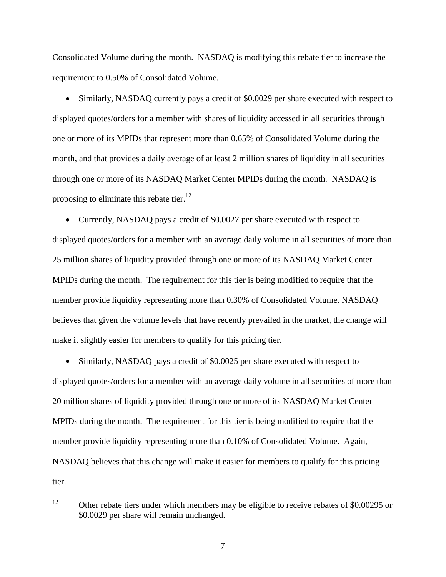Consolidated Volume during the month. NASDAQ is modifying this rebate tier to increase the requirement to 0.50% of Consolidated Volume.

• Similarly, NASDAQ currently pays a credit of \$0.0029 per share executed with respect to displayed quotes/orders for a member with shares of liquidity accessed in all securities through one or more of its MPIDs that represent more than 0.65% of Consolidated Volume during the month, and that provides a daily average of at least 2 million shares of liquidity in all securities through one or more of its NASDAQ Market Center MPIDs during the month. NASDAQ is proposing to eliminate this rebate tier.<sup>12</sup>

 Currently, NASDAQ pays a credit of \$0.0027 per share executed with respect to displayed quotes/orders for a member with an average daily volume in all securities of more than 25 million shares of liquidity provided through one or more of its NASDAQ Market Center MPIDs during the month. The requirement for this tier is being modified to require that the member provide liquidity representing more than 0.30% of Consolidated Volume. NASDAQ believes that given the volume levels that have recently prevailed in the market, the change will make it slightly easier for members to qualify for this pricing tier.

 Similarly, NASDAQ pays a credit of \$0.0025 per share executed with respect to displayed quotes/orders for a member with an average daily volume in all securities of more than 20 million shares of liquidity provided through one or more of its NASDAQ Market Center MPIDs during the month. The requirement for this tier is being modified to require that the member provide liquidity representing more than 0.10% of Consolidated Volume. Again, NASDAQ believes that this change will make it easier for members to qualify for this pricing tier.

 $12$ <sup>12</sup> Other rebate tiers under which members may be eligible to receive rebates of \$0.00295 or \$0.0029 per share will remain unchanged.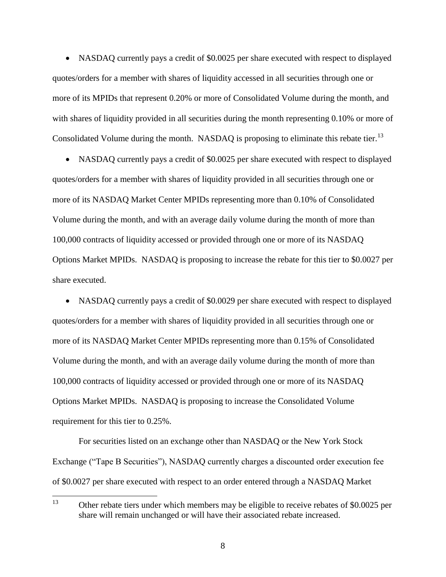• NASDAQ currently pays a credit of \$0.0025 per share executed with respect to displayed quotes/orders for a member with shares of liquidity accessed in all securities through one or more of its MPIDs that represent 0.20% or more of Consolidated Volume during the month, and with shares of liquidity provided in all securities during the month representing 0.10% or more of Consolidated Volume during the month. NASDAQ is proposing to eliminate this rebate tier.<sup>13</sup>

• NASDAQ currently pays a credit of \$0.0025 per share executed with respect to displayed quotes/orders for a member with shares of liquidity provided in all securities through one or more of its NASDAQ Market Center MPIDs representing more than 0.10% of Consolidated Volume during the month, and with an average daily volume during the month of more than 100,000 contracts of liquidity accessed or provided through one or more of its NASDAQ Options Market MPIDs. NASDAQ is proposing to increase the rebate for this tier to \$0.0027 per share executed.

• NASDAQ currently pays a credit of \$0.0029 per share executed with respect to displayed quotes/orders for a member with shares of liquidity provided in all securities through one or more of its NASDAQ Market Center MPIDs representing more than 0.15% of Consolidated Volume during the month, and with an average daily volume during the month of more than 100,000 contracts of liquidity accessed or provided through one or more of its NASDAQ Options Market MPIDs. NASDAQ is proposing to increase the Consolidated Volume requirement for this tier to 0.25%.

For securities listed on an exchange other than NASDAQ or the New York Stock Exchange ("Tape B Securities"), NASDAQ currently charges a discounted order execution fee of \$0.0027 per share executed with respect to an order entered through a NASDAQ Market

<sup>13</sup> Other rebate tiers under which members may be eligible to receive rebates of \$0.0025 per share will remain unchanged or will have their associated rebate increased.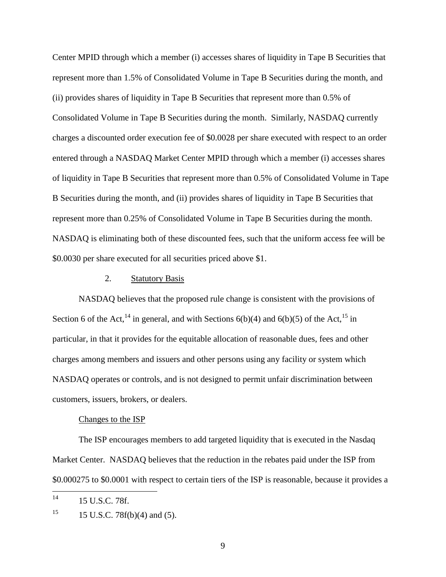Center MPID through which a member (i) accesses shares of liquidity in Tape B Securities that represent more than 1.5% of Consolidated Volume in Tape B Securities during the month, and (ii) provides shares of liquidity in Tape B Securities that represent more than 0.5% of Consolidated Volume in Tape B Securities during the month. Similarly, NASDAQ currently charges a discounted order execution fee of \$0.0028 per share executed with respect to an order entered through a NASDAQ Market Center MPID through which a member (i) accesses shares of liquidity in Tape B Securities that represent more than 0.5% of Consolidated Volume in Tape B Securities during the month, and (ii) provides shares of liquidity in Tape B Securities that represent more than 0.25% of Consolidated Volume in Tape B Securities during the month. NASDAQ is eliminating both of these discounted fees, such that the uniform access fee will be \$0.0030 per share executed for all securities priced above \$1.

## 2. Statutory Basis

NASDAQ believes that the proposed rule change is consistent with the provisions of Section 6 of the Act, <sup>14</sup> in general, and with Sections  $6(b)(4)$  and  $6(b)(5)$  of the Act, <sup>15</sup> in particular, in that it provides for the equitable allocation of reasonable dues, fees and other charges among members and issuers and other persons using any facility or system which NASDAQ operates or controls, and is not designed to permit unfair discrimination between customers, issuers, brokers, or dealers.

#### Changes to the ISP

The ISP encourages members to add targeted liquidity that is executed in the Nasdaq Market Center. NASDAQ believes that the reduction in the rebates paid under the ISP from \$0.000275 to \$0.0001 with respect to certain tiers of the ISP is reasonable, because it provides a

 $14$ 15 U.S.C. 78f.

<sup>&</sup>lt;sup>15</sup> 15 U.S.C. 78f(b)(4) and (5).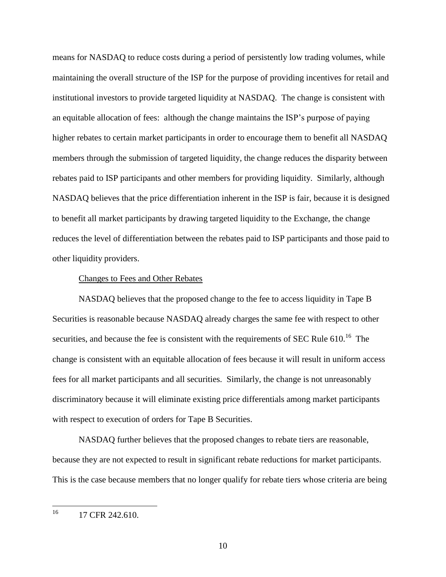means for NASDAQ to reduce costs during a period of persistently low trading volumes, while maintaining the overall structure of the ISP for the purpose of providing incentives for retail and institutional investors to provide targeted liquidity at NASDAQ. The change is consistent with an equitable allocation of fees: although the change maintains the ISP's purpose of paying higher rebates to certain market participants in order to encourage them to benefit all NASDAQ members through the submission of targeted liquidity, the change reduces the disparity between rebates paid to ISP participants and other members for providing liquidity. Similarly, although NASDAQ believes that the price differentiation inherent in the ISP is fair, because it is designed to benefit all market participants by drawing targeted liquidity to the Exchange, the change reduces the level of differentiation between the rebates paid to ISP participants and those paid to other liquidity providers.

#### Changes to Fees and Other Rebates

NASDAQ believes that the proposed change to the fee to access liquidity in Tape B Securities is reasonable because NASDAQ already charges the same fee with respect to other securities, and because the fee is consistent with the requirements of SEC Rule  $610^{16}$  The change is consistent with an equitable allocation of fees because it will result in uniform access fees for all market participants and all securities. Similarly, the change is not unreasonably discriminatory because it will eliminate existing price differentials among market participants with respect to execution of orders for Tape B Securities.

NASDAQ further believes that the proposed changes to rebate tiers are reasonable, because they are not expected to result in significant rebate reductions for market participants. This is the case because members that no longer qualify for rebate tiers whose criteria are being

<sup>16</sup> 17 CFR 242.610.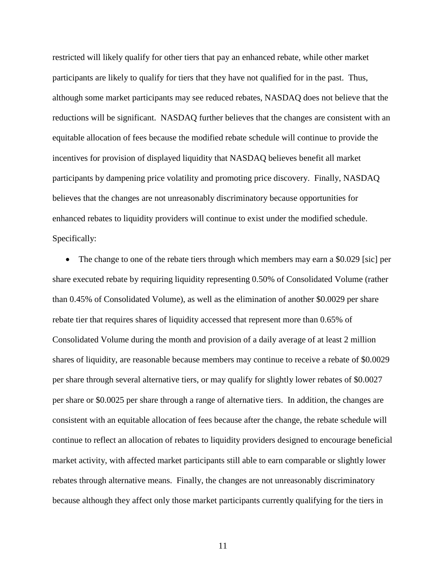restricted will likely qualify for other tiers that pay an enhanced rebate, while other market participants are likely to qualify for tiers that they have not qualified for in the past. Thus, although some market participants may see reduced rebates, NASDAQ does not believe that the reductions will be significant. NASDAQ further believes that the changes are consistent with an equitable allocation of fees because the modified rebate schedule will continue to provide the incentives for provision of displayed liquidity that NASDAQ believes benefit all market participants by dampening price volatility and promoting price discovery. Finally, NASDAQ believes that the changes are not unreasonably discriminatory because opportunities for enhanced rebates to liquidity providers will continue to exist under the modified schedule. Specifically:

 $\bullet$  The change to one of the rebate tiers through which members may earn a \$0.029 [sic] per share executed rebate by requiring liquidity representing 0.50% of Consolidated Volume (rather than 0.45% of Consolidated Volume), as well as the elimination of another \$0.0029 per share rebate tier that requires shares of liquidity accessed that represent more than 0.65% of Consolidated Volume during the month and provision of a daily average of at least 2 million shares of liquidity, are reasonable because members may continue to receive a rebate of \$0.0029 per share through several alternative tiers, or may qualify for slightly lower rebates of \$0.0027 per share or \$0.0025 per share through a range of alternative tiers. In addition, the changes are consistent with an equitable allocation of fees because after the change, the rebate schedule will continue to reflect an allocation of rebates to liquidity providers designed to encourage beneficial market activity, with affected market participants still able to earn comparable or slightly lower rebates through alternative means. Finally, the changes are not unreasonably discriminatory because although they affect only those market participants currently qualifying for the tiers in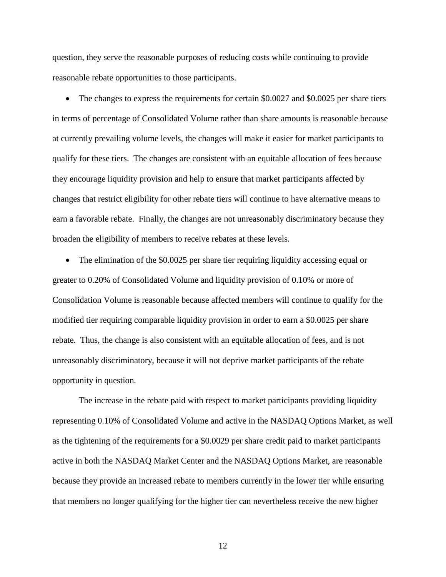question, they serve the reasonable purposes of reducing costs while continuing to provide reasonable rebate opportunities to those participants.

• The changes to express the requirements for certain \$0.0027 and \$0.0025 per share tiers in terms of percentage of Consolidated Volume rather than share amounts is reasonable because at currently prevailing volume levels, the changes will make it easier for market participants to qualify for these tiers. The changes are consistent with an equitable allocation of fees because they encourage liquidity provision and help to ensure that market participants affected by changes that restrict eligibility for other rebate tiers will continue to have alternative means to earn a favorable rebate. Finally, the changes are not unreasonably discriminatory because they broaden the eligibility of members to receive rebates at these levels.

• The elimination of the \$0.0025 per share tier requiring liquidity accessing equal or greater to 0.20% of Consolidated Volume and liquidity provision of 0.10% or more of Consolidation Volume is reasonable because affected members will continue to qualify for the modified tier requiring comparable liquidity provision in order to earn a \$0.0025 per share rebate. Thus, the change is also consistent with an equitable allocation of fees, and is not unreasonably discriminatory, because it will not deprive market participants of the rebate opportunity in question.

The increase in the rebate paid with respect to market participants providing liquidity representing 0.10% of Consolidated Volume and active in the NASDAQ Options Market, as well as the tightening of the requirements for a \$0.0029 per share credit paid to market participants active in both the NASDAQ Market Center and the NASDAQ Options Market, are reasonable because they provide an increased rebate to members currently in the lower tier while ensuring that members no longer qualifying for the higher tier can nevertheless receive the new higher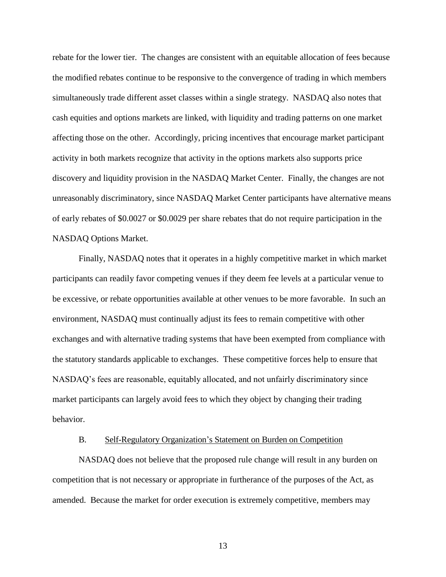rebate for the lower tier. The changes are consistent with an equitable allocation of fees because the modified rebates continue to be responsive to the convergence of trading in which members simultaneously trade different asset classes within a single strategy. NASDAQ also notes that cash equities and options markets are linked, with liquidity and trading patterns on one market affecting those on the other. Accordingly, pricing incentives that encourage market participant activity in both markets recognize that activity in the options markets also supports price discovery and liquidity provision in the NASDAQ Market Center. Finally, the changes are not unreasonably discriminatory, since NASDAQ Market Center participants have alternative means of early rebates of \$0.0027 or \$0.0029 per share rebates that do not require participation in the NASDAQ Options Market.

Finally, NASDAQ notes that it operates in a highly competitive market in which market participants can readily favor competing venues if they deem fee levels at a particular venue to be excessive, or rebate opportunities available at other venues to be more favorable. In such an environment, NASDAQ must continually adjust its fees to remain competitive with other exchanges and with alternative trading systems that have been exempted from compliance with the statutory standards applicable to exchanges. These competitive forces help to ensure that NASDAQ's fees are reasonable, equitably allocated, and not unfairly discriminatory since market participants can largely avoid fees to which they object by changing their trading behavior.

## B. Self-Regulatory Organization's Statement on Burden on Competition

NASDAQ does not believe that the proposed rule change will result in any burden on competition that is not necessary or appropriate in furtherance of the purposes of the Act, as amended. Because the market for order execution is extremely competitive, members may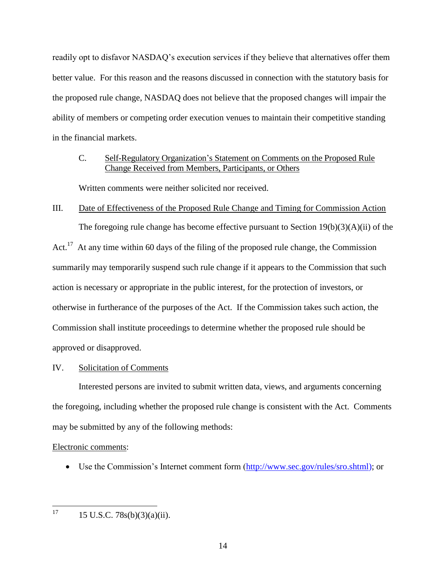readily opt to disfavor NASDAQ's execution services if they believe that alternatives offer them better value. For this reason and the reasons discussed in connection with the statutory basis for the proposed rule change, NASDAQ does not believe that the proposed changes will impair the ability of members or competing order execution venues to maintain their competitive standing in the financial markets.

# C. Self-Regulatory Organization's Statement on Comments on the Proposed Rule Change Received from Members, Participants, or Others

Written comments were neither solicited nor received.

# III. Date of Effectiveness of the Proposed Rule Change and Timing for Commission Action

The foregoing rule change has become effective pursuant to Section  $19(b)(3)(A)(ii)$  of the Act.<sup>17</sup> At any time within 60 days of the filing of the proposed rule change, the Commission summarily may temporarily suspend such rule change if it appears to the Commission that such action is necessary or appropriate in the public interest, for the protection of investors, or otherwise in furtherance of the purposes of the Act. If the Commission takes such action, the Commission shall institute proceedings to determine whether the proposed rule should be approved or disapproved.

# IV. Solicitation of Comments

Interested persons are invited to submit written data, views, and arguments concerning the foregoing, including whether the proposed rule change is consistent with the Act. Comments may be submitted by any of the following methods:

## Electronic comments:

Use the Commission's Internet comment form [\(http://www.sec.gov/rules/sro.shtml\)](http://www.sec.gov/rules/sro.shtml); or

<sup>17</sup> 15 U.S.C. 78s(b)(3)(a)(ii).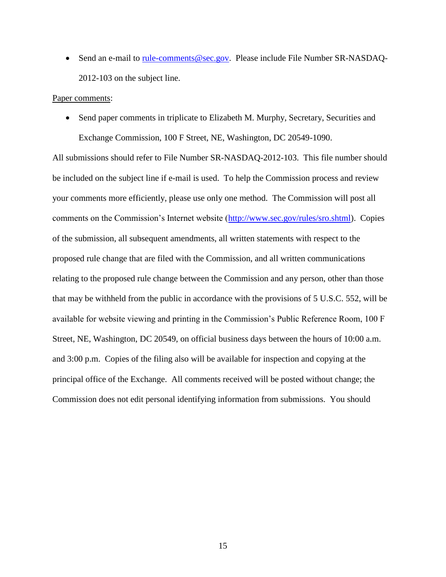• Send an e-mail to <u>rule-comments@sec.gov</u>. Please include File Number SR-NASDAQ-2012-103 on the subject line.

## Paper comments:

• Send paper comments in triplicate to Elizabeth M. Murphy, Secretary, Securities and Exchange Commission, 100 F Street, NE, Washington, DC 20549-1090.

All submissions should refer to File Number SR-NASDAQ-2012-103. This file number should be included on the subject line if e-mail is used. To help the Commission process and review your comments more efficiently, please use only one method. The Commission will post all comments on the Commission's Internet website [\(http://www.sec.gov/rules/sro.shtml\)](http://www.sec.gov/rules/sro.shtml). Copies of the submission, all subsequent amendments, all written statements with respect to the proposed rule change that are filed with the Commission, and all written communications relating to the proposed rule change between the Commission and any person, other than those that may be withheld from the public in accordance with the provisions of 5 U.S.C. 552, will be available for website viewing and printing in the Commission's Public Reference Room, 100 F Street, NE, Washington, DC 20549, on official business days between the hours of 10:00 a.m. and 3:00 p.m. Copies of the filing also will be available for inspection and copying at the principal office of the Exchange. All comments received will be posted without change; the Commission does not edit personal identifying information from submissions. You should